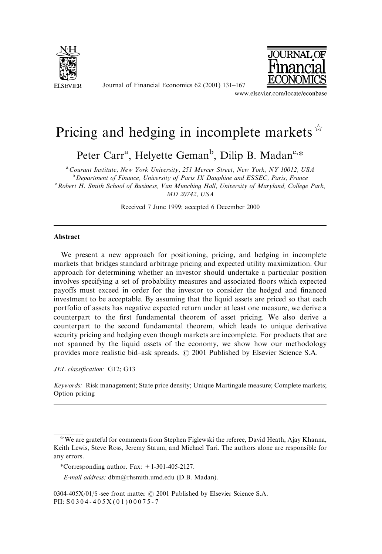

Journal of Financial Economics 62 (2001) 131–167



www.elsevier.com/locate/econbase

## Pricing and hedging in incomplete markets  $\mathbb{R}$

Peter Carr<sup>a</sup>, Helyette Geman<sup>b</sup>, Dilip B. Madan<sup>c,\*</sup>

<sup>a</sup> Courant Institute, New York University, 251 Mercer Street, New York, NY 10012, USA

<sup>b</sup> Department of Finance, University of Paris IX Dauphine and ESSEC, Paris, France

<sup>c</sup> Robert H. Smith School of Business, Van Munching Hall, University of Maryland, College Park, MD 20742, USA

Received 7 June 1999; accepted 6 December 2000

## Abstract

We present a new approach for positioning, pricing, and hedging in incomplete markets that bridges standard arbitrage pricing and expected utility maximization. Our approach for determining whether an investor should undertake a particular position involves specifying a set of probability measures and associated floors which expected payoffs must exceed in order for the investor to consider the hedged and financed investment to be acceptable. By assuming that the liquid assets are priced so that each portfolio of assets has negative expected return under at least one measure, we derive a counterpart to the first fundamental theorem of asset pricing. We also derive a counterpart to the second fundamental theorem, which leads to unique derivative security pricing and hedging even though markets are incomplete. For products that are not spanned by the liquid assets of the economy, we show how our methodology provides more realistic bid–ask spreads.  $\odot$  2001 Published by Elsevier Science S.A.

JEL classification: G12; G13

Keywords: Risk management; State price density; Unique Martingale measure; Complete markets; Option pricing

E-mail address: dbm@rhsmith.umd.edu (D.B. Madan).

 $\dot{\gamma}$  We are grateful for comments from Stephen Figlewski the referee, David Heath, Ajay Khanna, Keith Lewis, Steve Ross, Jeremy Staum, and Michael Tari. The authors alone are responsible for any errors.

<sup>\*</sup>Corresponding author. Fax: +1-301-405-2127.

<sup>0304-405</sup>X/01/\$ -see front matter  $\odot$  2001 Published by Elsevier Science S.A. PII: S 0 3 0 4 - 4 0 5 X (0 1 ) 0 0 0 7 5 - 7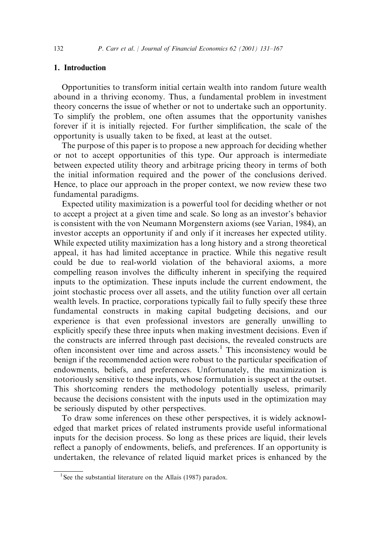## 1. Introduction

Opportunities to transform initial certain wealth into random future wealth abound in a thriving economy. Thus, a fundamental problem in investment theory concerns the issue of whether or not to undertake such an opportunity. To simplify the problem, one often assumes that the opportunity vanishes forever if it is initially rejected. For further simplification, the scale of the opportunity is usually taken to be fixed, at least at the outset.

The purpose of this paper is to propose a new approach for deciding whether or not to accept opportunities of this type. Our approach is intermediate between expected utility theory and arbitrage pricing theory in terms of both the initial information required and the power of the conclusions derived. Hence, to place our approach in the proper context, we now review these two fundamental paradigms.

Expected utility maximization is a powerful tool for deciding whether or not to accept a project at a given time and scale. So long as an investor's behavior is consistent with the von Neumann Morgenstern axioms (see Varian, 1984), an investor accepts an opportunity if and only if it increases her expected utility. While expected utility maximization has a long history and a strong theoretical appeal, it has had limited acceptance in practice. While this negative result could be due to real-world violation of the behavioral axioms, a more compelling reason involves the difficulty inherent in specifying the required inputs to the optimization. These inputs include the current endowment, the joint stochastic process over all assets, and the utility function over all certain wealth levels. In practice, corporations typically fail to fully specify these three fundamental constructs in making capital budgeting decisions, and our experience is that even professional investors are generally unwilling to explicitly specify these three inputs when making investment decisions. Even if the constructs are inferred through past decisions, the revealed constructs are often inconsistent over time and across assets.<sup>1</sup> This inconsistency would be benign if the recommended action were robust to the particular specification of endowments, beliefs, and preferences. Unfortunately, the maximization is notoriously sensitive to these inputs, whose formulation is suspect at the outset. This shortcoming renders the methodology potentially useless, primarily because the decisions consistent with the inputs used in the optimization may be seriously disputed by other perspectives.

To draw some inferences on these other perspectives, it is widely acknowledged that market prices of related instruments provide useful informational inputs for the decision process. So long as these prices are liquid, their levels reflect a panoply of endowments, beliefs, and preferences. If an opportunity is undertaken, the relevance of related liquid market prices is enhanced by the

<sup>&</sup>lt;sup>1</sup> See the substantial literature on the Allais (1987) paradox.